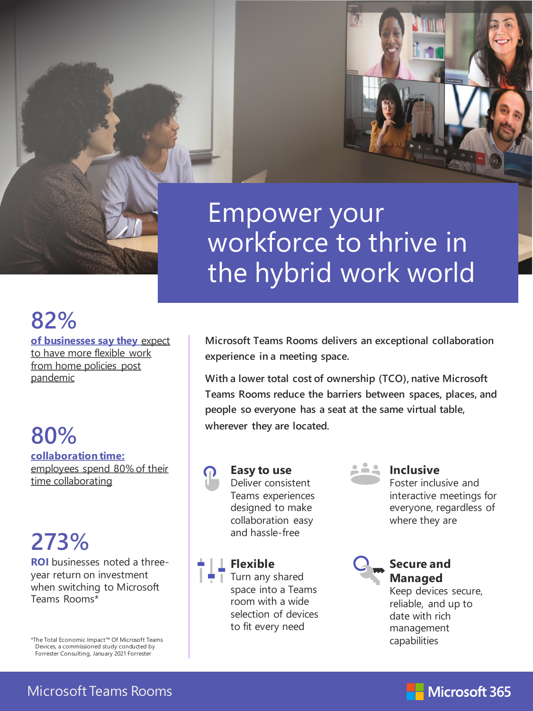# Empower your workforce to thrive in the hybrid work world

# **82%**

**of businesses say they** expect to have more flexible work from home policies post pandemic

## **80% collaboration time:**

employees spend 80% of their time collaborating

# **273%**

**ROI** businesses noted a threeyear return on investment when switching to Microsoft Teams Rooms\*

\*The Total Economic Impact™ Of Microsoft Teams Devices, a commissioned study conducted by Forrester Consulting, January 2021 Forrester

**Microsoft Teams Rooms delivers an exceptional collaboration experience in a meeting space.**

**With a lower total cost of ownership (TCO), native Microsoft Teams Rooms reduce the barriers between spaces, places, and people so everyone has a seat at the same virtual table, wherever they are located.**



**Easy to use** Deliver consistent Teams experiences designed to make collaboration easy and hassle-free

### **Flexible**

Turn any shared space into a Teams room with a wide selection of devices to fit every need

#### **Inclusive**

Foster inclusive and interactive meetings for everyone, regardless of where they are



## **Secure and Managed**

Keep devices secure, reliable, and up to date with rich management capabilities

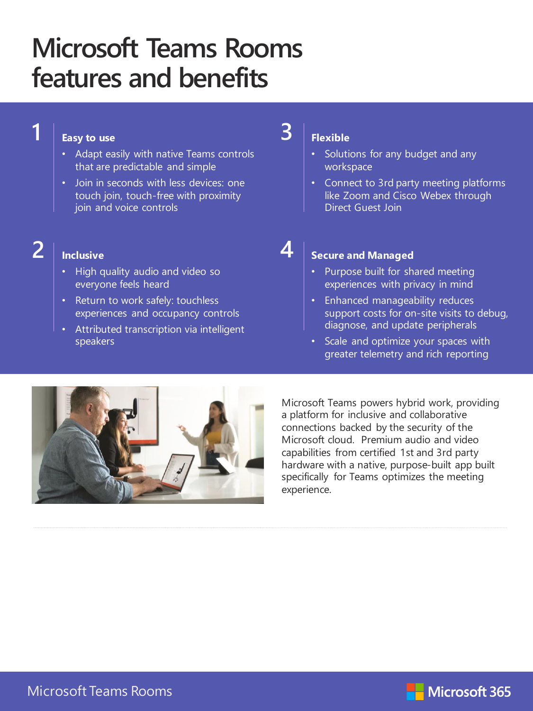# **Microsoft Teams Rooms features and benefits**

#### **Easy to use**

- Adapt easily with native Teams controls that are predictable and simple
- Join in seconds with less devices: one touch join, touch-free with proximity join and voice controls

## **2**

**1**

#### **Inclusive**

- High quality audio and video so everyone feels heard
- Return to work safely: touchless experiences and occupancy controls
- Attributed transcription via intelligent speakers

### **Flexible**

**3**

**4**

- Solutions for any budget and any workspace
- Connect to 3rd party meeting platforms like Zoom and Cisco Webex through Direct Guest Join

### **Secure and Managed**

- Purpose built for shared meeting experiences with privacy in mind
- Enhanced manageability reduces support costs for on-site visits to debug, diagnose, and update peripherals
- Scale and optimize your spaces with greater telemetry and rich reporting



Microsoft Teams powers hybrid work, providing a platform for inclusive and collaborative connections backed by the security of the Microsoft cloud. Premium audio and video capabilities from certified 1st and 3rd party hardware with a native, purpose-built app built specifically for Teams optimizes the meeting experience.